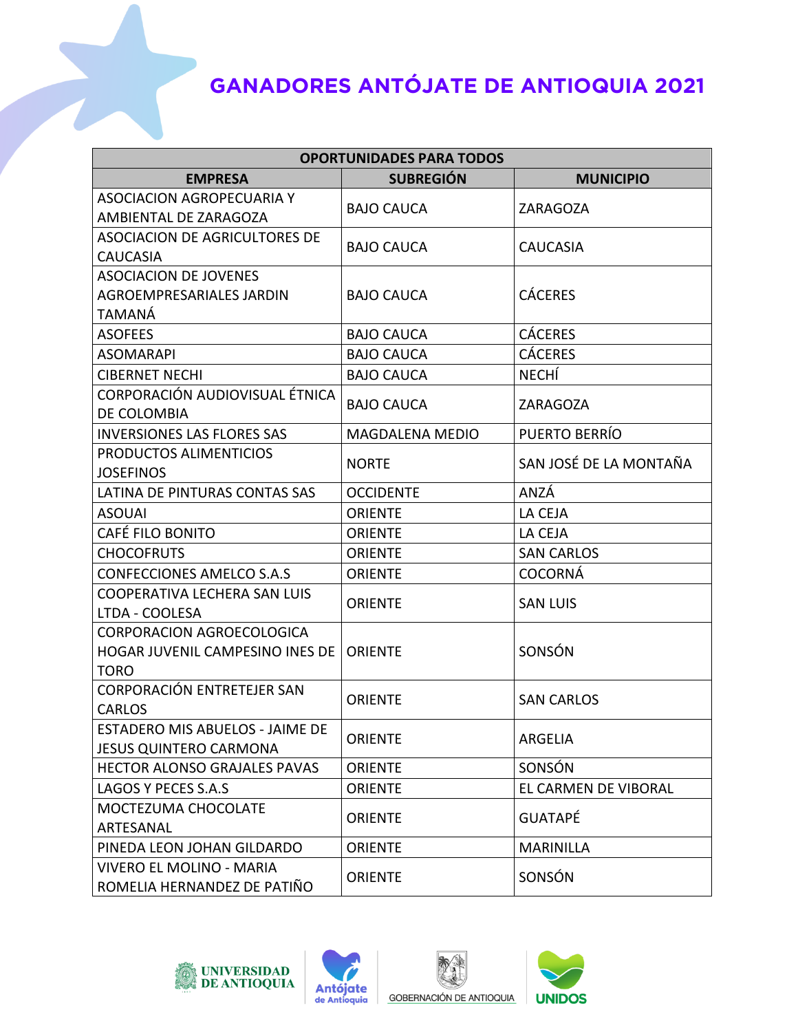| <b>OPORTUNIDADES PARA TODOS</b>                                |                        |                        |  |
|----------------------------------------------------------------|------------------------|------------------------|--|
| <b>EMPRESA</b>                                                 | <b>SUBREGIÓN</b>       | <b>MUNICIPIO</b>       |  |
| <b>ASOCIACION AGROPECUARIA Y</b>                               | <b>BAJO CAUCA</b>      |                        |  |
| AMBIENTAL DE ZARAGOZA                                          |                        | ZARAGOZA               |  |
| <b>ASOCIACION DE AGRICULTORES DE</b>                           | <b>BAJO CAUCA</b>      | <b>CAUCASIA</b>        |  |
| <b>CAUCASIA</b>                                                |                        |                        |  |
| <b>ASOCIACION DE JOVENES</b>                                   |                        |                        |  |
| <b>AGROEMPRESARIALES JARDIN</b>                                | <b>BAJO CAUCA</b>      | <b>CÁCERES</b>         |  |
| TAMANÁ                                                         |                        |                        |  |
| <b>ASOFEES</b>                                                 | <b>BAJO CAUCA</b>      | <b>CÁCERES</b>         |  |
| <b>ASOMARAPI</b>                                               | <b>BAJO CAUCA</b>      | <b>CÁCERES</b>         |  |
| <b>CIBERNET NECHI</b>                                          | <b>BAJO CAUCA</b>      | <b>NECHÍ</b>           |  |
| CORPORACIÓN AUDIOVISUAL ÉTNICA                                 | <b>BAJO CAUCA</b>      | ZARAGOZA               |  |
| DE COLOMBIA                                                    |                        |                        |  |
| <b>INVERSIONES LAS FLORES SAS</b>                              | <b>MAGDALENA MEDIO</b> | PUERTO BERRÍO          |  |
| PRODUCTOS ALIMENTICIOS                                         | <b>NORTE</b>           | SAN JOSÉ DE LA MONTAÑA |  |
| <b>JOSEFINOS</b>                                               |                        |                        |  |
| LATINA DE PINTURAS CONTAS SAS                                  | <b>OCCIDENTE</b>       | ANZÁ                   |  |
| <b>ASOUAI</b>                                                  | <b>ORIENTE</b>         | LA CEJA                |  |
| CAFÉ FILO BONITO                                               | <b>ORIENTE</b>         | LA CEJA                |  |
| <b>CHOCOFRUTS</b>                                              | <b>ORIENTE</b>         | <b>SAN CARLOS</b>      |  |
| <b>CONFECCIONES AMELCO S.A.S</b>                               | <b>ORIENTE</b>         | <b>COCORNÁ</b>         |  |
| COOPERATIVA LECHERA SAN LUIS                                   | <b>ORIENTE</b>         | <b>SAN LUIS</b>        |  |
| LTDA - COOLESA                                                 |                        |                        |  |
| CORPORACION AGROECOLOGICA                                      |                        |                        |  |
| HOGAR JUVENIL CAMPESINO INES DE                                | <b>ORIENTE</b>         | SONSÓN                 |  |
| <b>TORO</b>                                                    |                        |                        |  |
| CORPORACIÓN ENTRETEJER SAN                                     | <b>ORIENTE</b>         | <b>SAN CARLOS</b>      |  |
| <b>CARLOS</b>                                                  |                        |                        |  |
| <b>ESTADERO MIS ABUELOS - JAIME DE</b>                         | <b>ORIENTE</b>         | ARGELIA                |  |
| <b>JESUS QUINTERO CARMONA</b>                                  |                        |                        |  |
| <b>HECTOR ALONSO GRAJALES PAVAS</b>                            | <b>ORIENTE</b>         | SONSÓN                 |  |
| LAGOS Y PECES S.A.S                                            | <b>ORIENTE</b>         | EL CARMEN DE VIBORAL   |  |
| MOCTEZUMA CHOCOLATE                                            | <b>ORIENTE</b>         | <b>GUATAPÉ</b>         |  |
| ARTESANAL                                                      |                        |                        |  |
| PINEDA LEON JOHAN GILDARDO                                     | <b>ORIENTE</b>         | <b>MARINILLA</b>       |  |
| <b>VIVERO EL MOLINO - MARIA</b><br>ROMELIA HERNANDEZ DE PATIÑO | <b>ORIENTE</b>         | SONSÓN                 |  |







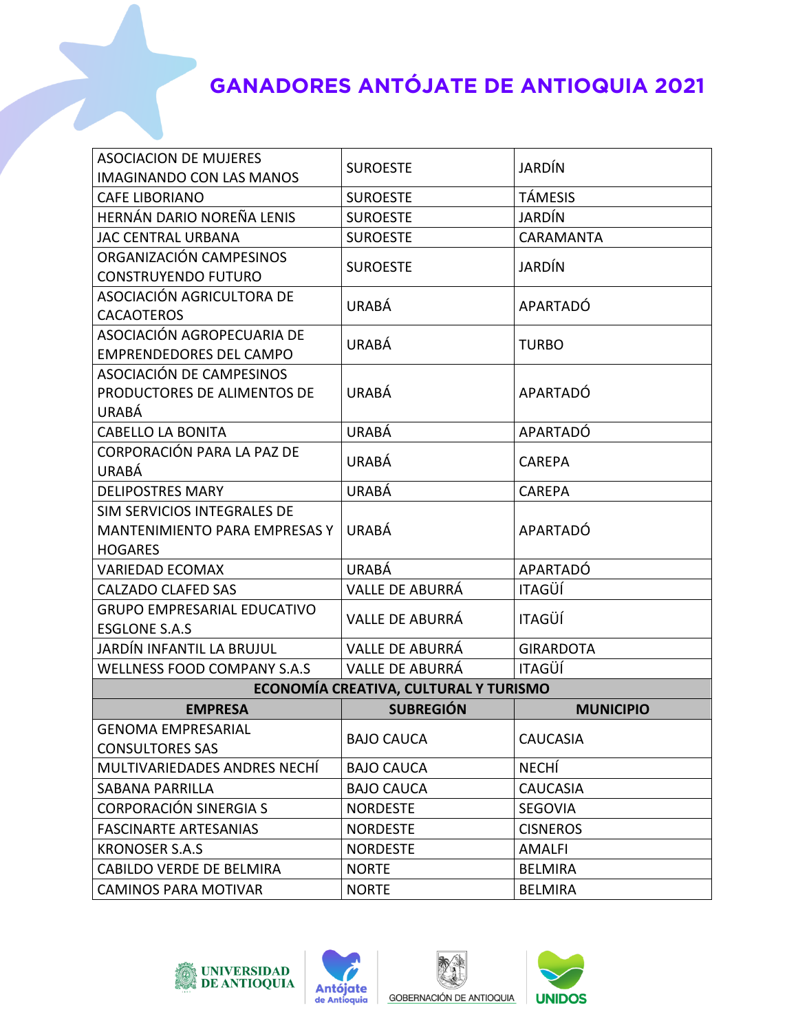| <b>ASOCIACION DE MUJERES</b><br><b>IMAGINANDO CON LAS MANOS</b> | <b>SUROESTE</b>                       | <b>JARDÍN</b>    |
|-----------------------------------------------------------------|---------------------------------------|------------------|
| <b>CAFE LIBORIANO</b>                                           | <b>SUROESTE</b>                       | <b>TÁMESIS</b>   |
| HERNÁN DARIO NOREÑA LENIS                                       | <b>SUROESTE</b>                       | <b>JARDÍN</b>    |
| <b>JAC CENTRAL URBANA</b>                                       | <b>SUROESTE</b>                       | CARAMANTA        |
| ORGANIZACIÓN CAMPESINOS                                         |                                       | JARDÍN           |
| <b>CONSTRUYENDO FUTURO</b>                                      | <b>SUROESTE</b>                       |                  |
| ASOCIACIÓN AGRICULTORA DE                                       |                                       | APARTADÓ         |
| <b>CACAOTEROS</b>                                               | URABÁ                                 |                  |
| ASOCIACIÓN AGROPECUARIA DE                                      | URABÁ                                 | <b>TURBO</b>     |
| <b>EMPRENDEDORES DEL CAMPO</b>                                  |                                       |                  |
| ASOCIACIÓN DE CAMPESINOS                                        |                                       |                  |
| PRODUCTORES DE ALIMENTOS DE                                     | <b>URABÁ</b>                          | APARTADÓ         |
| <b>URABÁ</b>                                                    |                                       |                  |
| <b>CABELLO LA BONITA</b>                                        | URABÁ                                 | APARTADÓ         |
| <b>CORPORACIÓN PARA LA PAZ DE</b>                               | URABÁ                                 | <b>CAREPA</b>    |
| URABÁ                                                           |                                       |                  |
| <b>DELIPOSTRES MARY</b>                                         | URABÁ                                 | <b>CAREPA</b>    |
| SIM SERVICIOS INTEGRALES DE                                     |                                       | APARTADÓ         |
| MANTENIMIENTO PARA EMPRESAS Y                                   | <b>URABÁ</b>                          |                  |
| <b>HOGARES</b>                                                  |                                       |                  |
| <b>VARIEDAD ECOMAX</b>                                          | URABÁ                                 | APARTADÓ         |
| CALZADO CLAFED SAS                                              | VALLE DE ABURRÁ                       | <b>ITAGÜÍ</b>    |
| <b>GRUPO EMPRESARIAL EDUCATIVO</b><br><b>ESGLONE S.A.S</b>      | VALLE DE ABURRÁ                       | <b>ITAGÜÍ</b>    |
| JARDÍN INFANTIL LA BRUJUL                                       | <b>VALLE DE ABURRÁ</b>                | <b>GIRARDOTA</b> |
| WELLNESS FOOD COMPANY S.A.S                                     | <b>VALLE DE ABURRÁ</b>                | <b>ITAGÜÍ</b>    |
|                                                                 | ECONOMÍA CREATIVA, CULTURAL Y TURISMO |                  |
| <b>EMPRESA</b>                                                  | <b>SUBREGIÓN</b>                      | <b>MUNICIPIO</b> |
| <b>GENOMA EMPRESARIAL</b>                                       |                                       |                  |
| <b>CONSULTORES SAS</b>                                          | <b>BAJO CAUCA</b>                     | <b>CAUCASIA</b>  |
| MULTIVARIEDADES ANDRES NECHÍ                                    | <b>BAJO CAUCA</b>                     | <b>NECHÍ</b>     |
| <b>SABANA PARRILLA</b>                                          | <b>BAJO CAUCA</b>                     | <b>CAUCASIA</b>  |
| CORPORACIÓN SINERGIA S                                          | <b>NORDESTE</b>                       | <b>SEGOVIA</b>   |
| <b>FASCINARTE ARTESANIAS</b>                                    | <b>NORDESTE</b>                       | <b>CISNEROS</b>  |
| <b>KRONOSER S.A.S</b>                                           | <b>NORDESTE</b>                       | <b>AMALFI</b>    |
| CABILDO VERDE DE BELMIRA                                        | <b>NORTE</b>                          | <b>BELMIRA</b>   |
| <b>CAMINOS PARA MOTIVAR</b>                                     | <b>NORTE</b>                          | <b>BELMIRA</b>   |







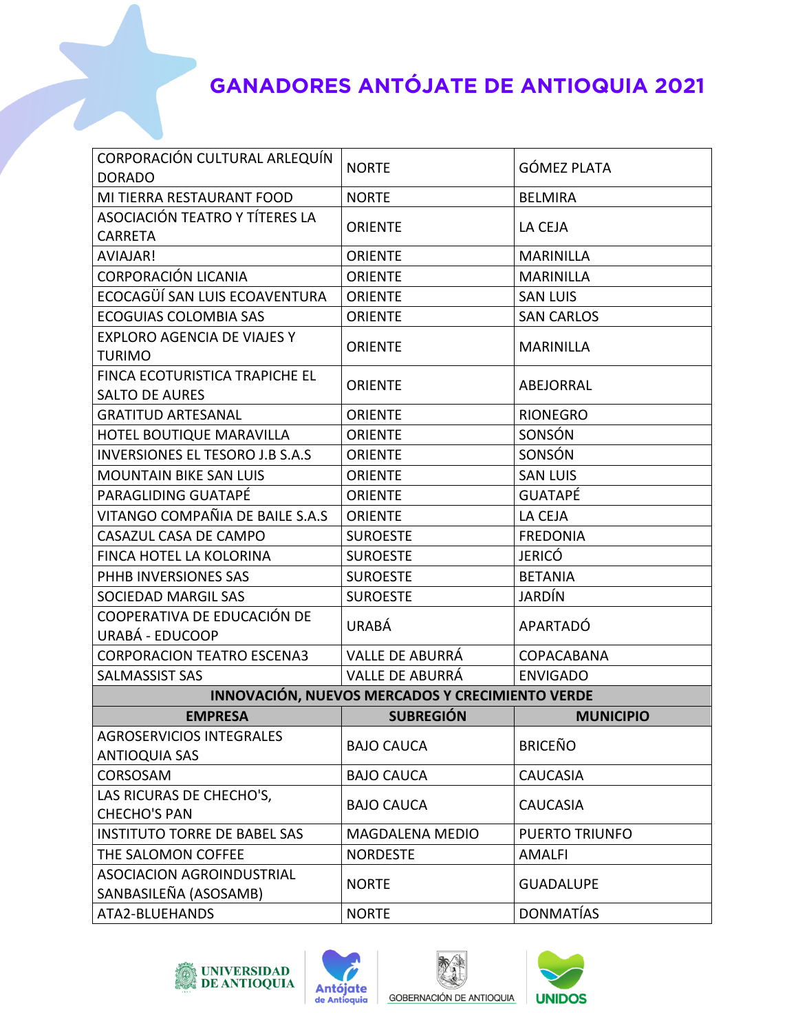| CORPORACIÓN CULTURAL ARLEQUÍN                   |                        |                       |  |  |
|-------------------------------------------------|------------------------|-----------------------|--|--|
| <b>DORADO</b>                                   | <b>NORTE</b>           | <b>GÓMEZ PLATA</b>    |  |  |
| MI TIERRA RESTAURANT FOOD                       | <b>NORTE</b>           | <b>BELMIRA</b>        |  |  |
| ASOCIACIÓN TEATRO Y TÍTERES LA                  | <b>ORIENTE</b>         | LA CEJA               |  |  |
| <b>CARRETA</b>                                  |                        |                       |  |  |
| AVIAJAR!                                        | <b>ORIENTE</b>         | <b>MARINILLA</b>      |  |  |
| CORPORACIÓN LICANIA                             | <b>ORIENTE</b>         | <b>MARINILLA</b>      |  |  |
| ECOCAGÜÍ SAN LUIS ECOAVENTURA                   | <b>ORIENTE</b>         | <b>SAN LUIS</b>       |  |  |
| <b>ECOGUIAS COLOMBIA SAS</b>                    | <b>ORIENTE</b>         | <b>SAN CARLOS</b>     |  |  |
| <b>EXPLORO AGENCIA DE VIAJES Y</b>              |                        | <b>MARINILLA</b>      |  |  |
| <b>TURIMO</b>                                   | <b>ORIENTE</b>         |                       |  |  |
| FINCA ECOTURISTICA TRAPICHE EL                  | <b>ORIENTE</b>         | ABEJORRAL             |  |  |
| <b>SALTO DE AURES</b>                           |                        |                       |  |  |
| <b>GRATITUD ARTESANAL</b>                       | <b>ORIENTE</b>         | <b>RIONEGRO</b>       |  |  |
| HOTEL BOUTIQUE MARAVILLA                        | <b>ORIENTE</b>         | SONSÓN                |  |  |
| <b>INVERSIONES EL TESORO J.B S.A.S</b>          | <b>ORIENTE</b>         | SONSÓN                |  |  |
| <b>MOUNTAIN BIKE SAN LUIS</b>                   | <b>ORIENTE</b>         | <b>SAN LUIS</b>       |  |  |
| PARAGLIDING GUATAPÉ                             | <b>ORIENTE</b>         | <b>GUATAPÉ</b>        |  |  |
| VITANGO COMPAÑIA DE BAILE S.A.S                 | <b>ORIENTE</b>         | LA CEJA               |  |  |
| CASAZUL CASA DE CAMPO                           | <b>SUROESTE</b>        | <b>FREDONIA</b>       |  |  |
| FINCA HOTEL LA KOLORINA                         | <b>SUROESTE</b>        | <b>JERICÓ</b>         |  |  |
| PHHB INVERSIONES SAS                            | <b>SUROESTE</b>        | <b>BETANIA</b>        |  |  |
| SOCIEDAD MARGIL SAS                             | <b>SUROESTE</b>        | <b>JARDÍN</b>         |  |  |
| COOPERATIVA DE EDUCACIÓN DE                     | URABÁ                  | APARTADÓ              |  |  |
| URABÁ - EDUCOOP                                 |                        |                       |  |  |
| <b>CORPORACION TEATRO ESCENA3</b>               | <b>VALLE DE ABURRÁ</b> | COPACABANA            |  |  |
| SALMASSIST SAS                                  | <b>VALLE DE ABURRÁ</b> | <b>ENVIGADO</b>       |  |  |
| INNOVACIÓN, NUEVOS MERCADOS Y CRECIMIENTO VERDE |                        |                       |  |  |
| <b>EMPRESA</b>                                  | <b>SUBREGIÓN</b>       | <b>MUNICIPIO</b>      |  |  |
| <b>AGROSERVICIOS INTEGRALES</b>                 | <b>BAJO CAUCA</b>      | <b>BRICEÑO</b>        |  |  |
| <b>ANTIOQUIA SAS</b>                            |                        |                       |  |  |
| CORSOSAM                                        | <b>BAJO CAUCA</b>      | <b>CAUCASIA</b>       |  |  |
| LAS RICURAS DE CHECHO'S,                        | <b>BAJO CAUCA</b>      | <b>CAUCASIA</b>       |  |  |
| <b>CHECHO'S PAN</b>                             |                        |                       |  |  |
| INSTITUTO TORRE DE BABEL SAS                    | MAGDALENA MEDIO        | <b>PUERTO TRIUNFO</b> |  |  |
| THE SALOMON COFFEE                              | <b>NORDESTE</b>        | <b>AMALFI</b>         |  |  |
| ASOCIACION AGROINDUSTRIAL                       | <b>NORTE</b>           | <b>GUADALUPE</b>      |  |  |
| SANBASILEÑA (ASOSAMB)                           |                        |                       |  |  |
| ATA2-BLUEHANDS                                  | <b>NORTE</b>           | <b>DONMATÍAS</b>      |  |  |







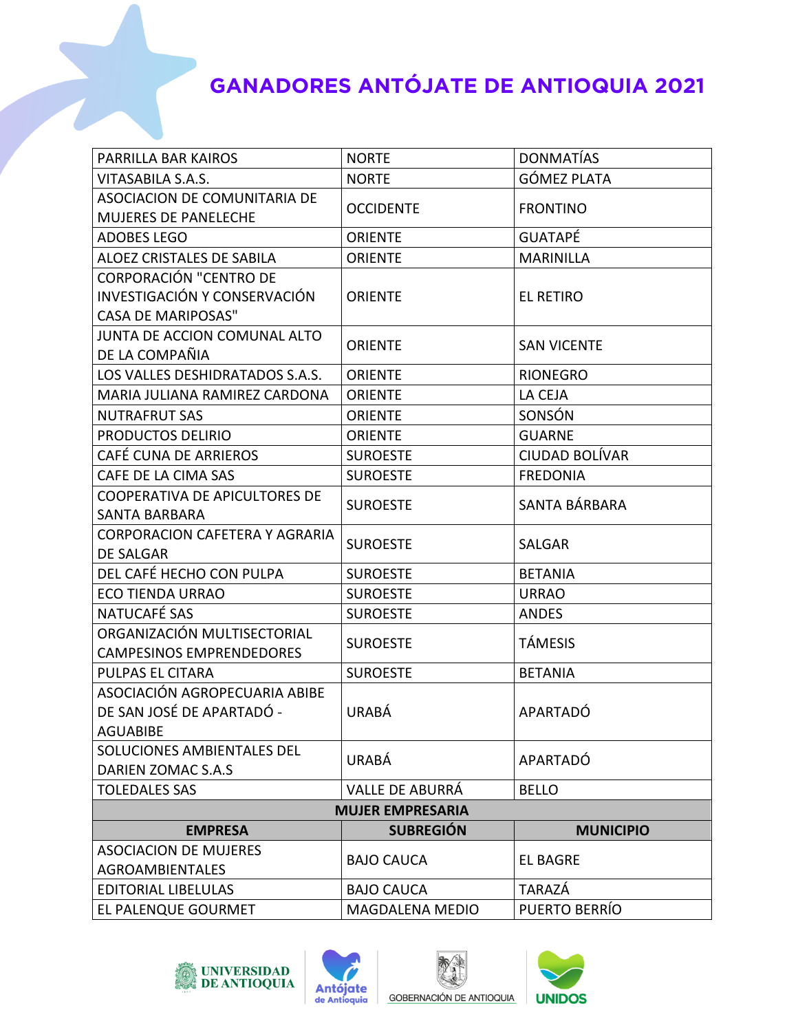| PARRILLA BAR KAIROS                                                                        | <b>NORTE</b>           | <b>DONMATÍAS</b>      |  |  |
|--------------------------------------------------------------------------------------------|------------------------|-----------------------|--|--|
| VITASABILA S.A.S.                                                                          | <b>NORTE</b>           | <b>GÓMEZ PLATA</b>    |  |  |
| ASOCIACION DE COMUNITARIA DE<br>MUJERES DE PANELECHE                                       | <b>OCCIDENTE</b>       | <b>FRONTINO</b>       |  |  |
| <b>ADOBES LEGO</b>                                                                         | <b>ORIENTE</b>         | <b>GUATAPÉ</b>        |  |  |
| ALOEZ CRISTALES DE SABILA                                                                  | <b>ORIENTE</b>         | <b>MARINILLA</b>      |  |  |
| <b>CORPORACIÓN "CENTRO DE</b><br>INVESTIGACIÓN Y CONSERVACIÓN<br><b>CASA DE MARIPOSAS"</b> | <b>ORIENTE</b>         | <b>EL RETIRO</b>      |  |  |
| JUNTA DE ACCION COMUNAL ALTO<br>DE LA COMPAÑIA                                             | <b>ORIENTE</b>         | <b>SAN VICENTE</b>    |  |  |
| LOS VALLES DESHIDRATADOS S.A.S.                                                            | <b>ORIENTE</b>         | <b>RIONEGRO</b>       |  |  |
| MARIA JULIANA RAMIREZ CARDONA                                                              | <b>ORIENTE</b>         | LA CEJA               |  |  |
| <b>NUTRAFRUT SAS</b>                                                                       | <b>ORIENTE</b>         | SONSÓN                |  |  |
| PRODUCTOS DELIRIO                                                                          | <b>ORIENTE</b>         | <b>GUARNE</b>         |  |  |
| CAFÉ CUNA DE ARRIEROS                                                                      | <b>SUROESTE</b>        | <b>CIUDAD BOLÍVAR</b> |  |  |
| CAFE DE LA CIMA SAS                                                                        | <b>SUROESTE</b>        | <b>FREDONIA</b>       |  |  |
| <b>COOPERATIVA DE APICULTORES DE</b><br>SANTA BARBARA                                      | <b>SUROESTE</b>        | SANTA BÁRBARA         |  |  |
| <b>CORPORACION CAFETERA Y AGRARIA</b><br>DE SALGAR                                         | <b>SUROESTE</b>        | <b>SALGAR</b>         |  |  |
| DEL CAFÉ HECHO CON PULPA                                                                   | <b>SUROESTE</b>        | <b>BETANIA</b>        |  |  |
| <b>ECO TIENDA URRAO</b>                                                                    | <b>SUROESTE</b>        | <b>URRAO</b>          |  |  |
| NATUCAFÉ SAS                                                                               | <b>SUROESTE</b>        | <b>ANDES</b>          |  |  |
| ORGANIZACIÓN MULTISECTORIAL<br><b>CAMPESINOS EMPRENDEDORES</b>                             | <b>SUROESTE</b>        | <b>TÁMESIS</b>        |  |  |
| PULPAS EL CITARA                                                                           | <b>SUROESTE</b>        | <b>BETANIA</b>        |  |  |
| ASOCIACIÓN AGROPECUARIA ABIBE<br>DE SAN JOSÉ DE APARTADÓ -<br>AGUABIBE                     | <b>URABÁ</b>           | APARTADÓ              |  |  |
| SOLUCIONES AMBIENTALES DEL<br>DARIEN ZOMAC S.A.S                                           | URABÁ                  | APARTADÓ              |  |  |
| <b>TOLEDALES SAS</b>                                                                       | <b>VALLE DE ABURRÁ</b> | <b>BELLO</b>          |  |  |
| <b>MUJER EMPRESARIA</b>                                                                    |                        |                       |  |  |
| <b>EMPRESA</b>                                                                             | <b>SUBREGIÓN</b>       | <b>MUNICIPIO</b>      |  |  |
| <b>ASOCIACION DE MUJERES</b><br><b>AGROAMBIENTALES</b>                                     | <b>BAJO CAUCA</b>      | <b>EL BAGRE</b>       |  |  |
| <b>EDITORIAL LIBELULAS</b>                                                                 | <b>BAJO CAUCA</b>      | <b>TARAZÁ</b>         |  |  |
| EL PALENQUE GOURMET                                                                        | <b>MAGDALENA MEDIO</b> | PUERTO BERRÍO         |  |  |